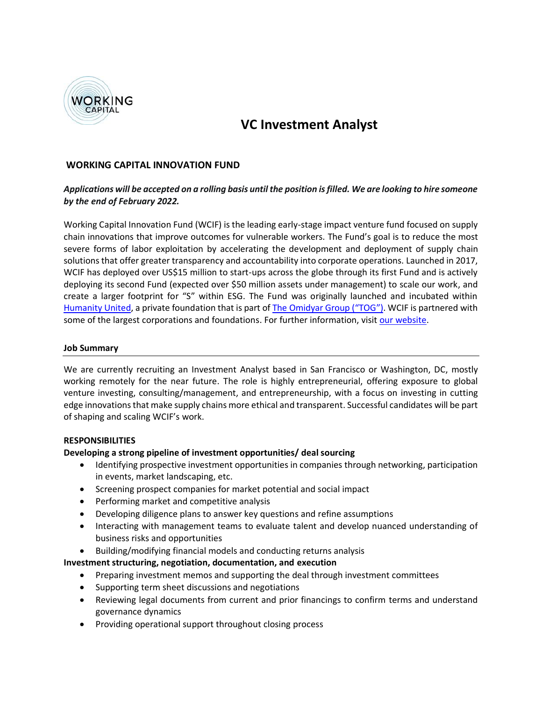

# **VC Investment Analyst**

# **WORKING CAPITAL INNOVATION FUND**

# *Applications will be accepted on a rolling basis until the position is filled. We are looking to hire someone by the end of February 2022.*

Working Capital Innovation Fund (WCIF) is the leading early-stage impact venture fund focused on supply chain innovations that improve outcomes for vulnerable workers. The Fund's goal is to reduce the most severe forms of labor exploitation by accelerating the development and deployment of supply chain solutions that offer greater transparency and accountability into corporate operations. Launched in 2017, WCIF has deployed over US\$15 million to start-ups across the globe through its first Fund and is actively deploying its second Fund (expected over \$50 million assets under management) to scale our work, and create a larger footprint for "S" within ESG. The Fund was originally launched and incubated within [Humanity United,](https://humanityunited.org/) a private foundation that is part of [The Omidyar Group \("TOG"\)](https://www.omidyargroup.com/). WCIF is partnered with some of the largest corporations and foundations. For further information, visit [our website.](https://workingcapitalfund.com/)

#### **Job Summary**

We are currently recruiting an Investment Analyst based in San Francisco or Washington, DC, mostly working remotely for the near future. The role is highly entrepreneurial, offering exposure to global venture investing, consulting/management, and entrepreneurship, with a focus on investing in cutting edge innovations that make supply chains more ethical and transparent. Successful candidates will be part of shaping and scaling WCIF's work.

#### **RESPONSIBILITIES**

#### **Developing a strong pipeline of investment opportunities/ deal sourcing**

- Identifying prospective investment opportunities in companies through networking, participation in events, market landscaping, etc.
- Screening prospect companies for market potential and social impact
- Performing market and competitive analysis
- Developing diligence plans to answer key questions and refine assumptions
- Interacting with management teams to evaluate talent and develop nuanced understanding of business risks and opportunities
- Building/modifying financial models and conducting returns analysis

# **Investment structuring, negotiation, documentation, and execution**

- Preparing investment memos and supporting the deal through investment committees
- Supporting term sheet discussions and negotiations
- Reviewing legal documents from current and prior financings to confirm terms and understand governance dynamics
- Providing operational support throughout closing process